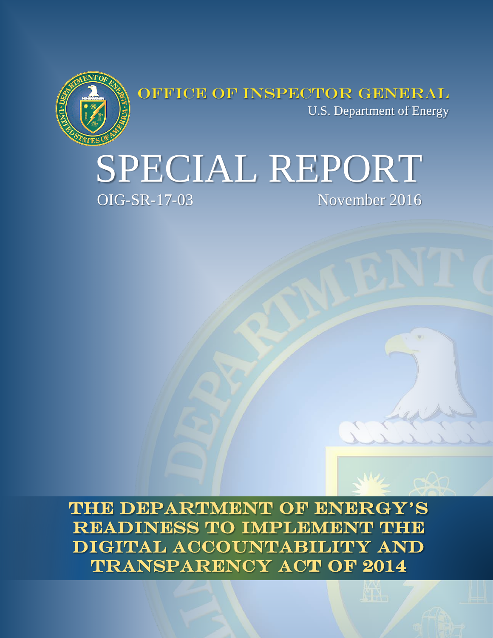

OFFICE OF INSPECTOR GENERAL U.S. Department of Energy

# SPECIAL REPORT November 2016

THE DEPARTMENT OF ENERGY'S READINESS TO IMPLEMENT THE DIGITAL ACCOUNTABILITY AND **TRANSPARENCY ACT OF 2014**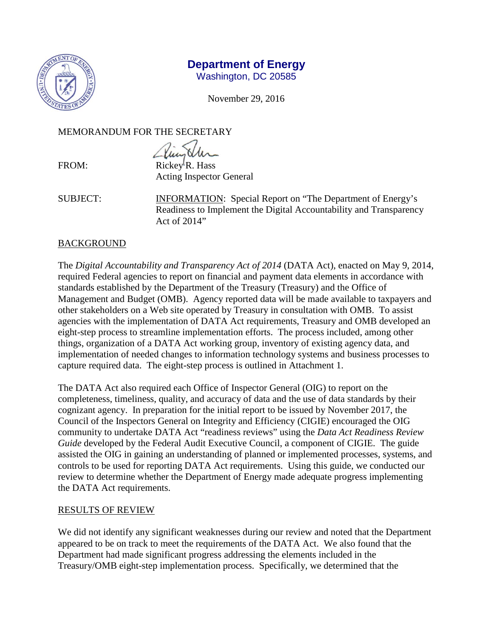

# **Department of Energy**

Washington, DC 20585

November 29, 2016

MEMORANDUM FOR THE SECRETARY

FROM: Rickey<sup>I</sup>R. Hass Acting Inspector General

SUBJECT: INFORMATION: Special Report on "The Department of Energy's Readiness to Implement the Digital Accountability and Transparency Act of 2014"

# **BACKGROUND**

The *Digital Accountability and Transparency Act of 2014* (DATA Act), enacted on May 9, 2014, required Federal agencies to report on financial and payment data elements in accordance with standards established by the Department of the Treasury (Treasury) and the Office of Management and Budget (OMB). Agency reported data will be made available to taxpayers and other stakeholders on a Web site operated by Treasury in consultation with OMB. To assist agencies with the implementation of DATA Act requirements, Treasury and OMB developed an eight-step process to streamline implementation efforts. The process included, among other things, organization of a DATA Act working group, inventory of existing agency data, and implementation of needed changes to information technology systems and business processes to capture required data. The eight-step process is outlined in Attachment 1.

The DATA Act also required each Office of Inspector General (OIG) to report on the completeness, timeliness, quality, and accuracy of data and the use of data standards by their cognizant agency. In preparation for the initial report to be issued by November 2017, the Council of the Inspectors General on Integrity and Efficiency (CIGIE) encouraged the OIG community to undertake DATA Act "readiness reviews" using the *Data Act Readiness Review Guide* developed by the Federal Audit Executive Council, a component of CIGIE. The guide assisted the OIG in gaining an understanding of planned or implemented processes, systems, and controls to be used for reporting DATA Act requirements. Using this guide, we conducted our review to determine whether the Department of Energy made adequate progress implementing the DATA Act requirements.

# RESULTS OF REVIEW

We did not identify any significant weaknesses during our review and noted that the Department appeared to be on track to meet the requirements of the DATA Act. We also found that the Department had made significant progress addressing the elements included in the Treasury/OMB eight-step implementation process. Specifically, we determined that the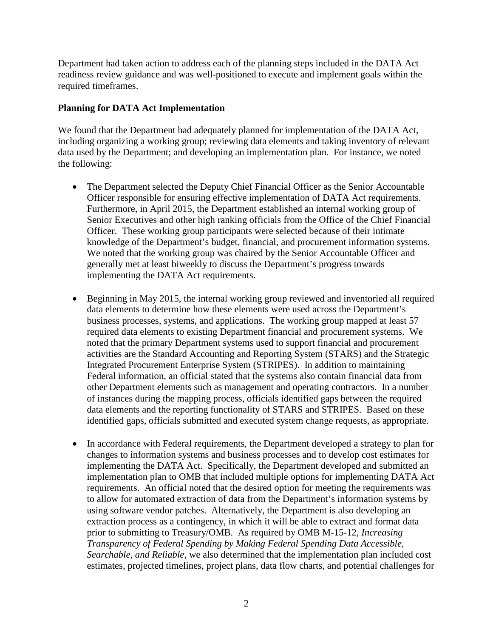Department had taken action to address each of the planning steps included in the DATA Act readiness review guidance and was well-positioned to execute and implement goals within the required timeframes.

#### **Planning for DATA Act Implementation**

We found that the Department had adequately planned for implementation of the DATA Act, including organizing a working group; reviewing data elements and taking inventory of relevant data used by the Department; and developing an implementation plan. For instance, we noted the following:

- The Department selected the Deputy Chief Financial Officer as the Senior Accountable Officer responsible for ensuring effective implementation of DATA Act requirements. Furthermore, in April 2015, the Department established an internal working group of Senior Executives and other high ranking officials from the Office of the Chief Financial Officer. These working group participants were selected because of their intimate knowledge of the Department's budget, financial, and procurement information systems. We noted that the working group was chaired by the Senior Accountable Officer and generally met at least biweekly to discuss the Department's progress towards implementing the DATA Act requirements.
- Beginning in May 2015, the internal working group reviewed and inventoried all required data elements to determine how these elements were used across the Department's business processes, systems, and applications. The working group mapped at least 57 required data elements to existing Department financial and procurement systems. We noted that the primary Department systems used to support financial and procurement activities are the Standard Accounting and Reporting System (STARS) and the Strategic Integrated Procurement Enterprise System (STRIPES). In addition to maintaining Federal information, an official stated that the systems also contain financial data from other Department elements such as management and operating contractors. In a number of instances during the mapping process, officials identified gaps between the required data elements and the reporting functionality of STARS and STRIPES. Based on these identified gaps, officials submitted and executed system change requests, as appropriate.
- In accordance with Federal requirements, the Department developed a strategy to plan for changes to information systems and business processes and to develop cost estimates for implementing the DATA Act. Specifically, the Department developed and submitted an implementation plan to OMB that included multiple options for implementing DATA Act requirements. An official noted that the desired option for meeting the requirements was to allow for automated extraction of data from the Department's information systems by using software vendor patches. Alternatively, the Department is also developing an extraction process as a contingency, in which it will be able to extract and format data prior to submitting to Treasury/OMB. As required by OMB M-15-12, *Increasing Transparency of Federal Spending by Making Federal Spending Data Accessible, Searchable, and Reliable*, we also determined that the implementation plan included cost estimates, projected timelines, project plans, data flow charts, and potential challenges for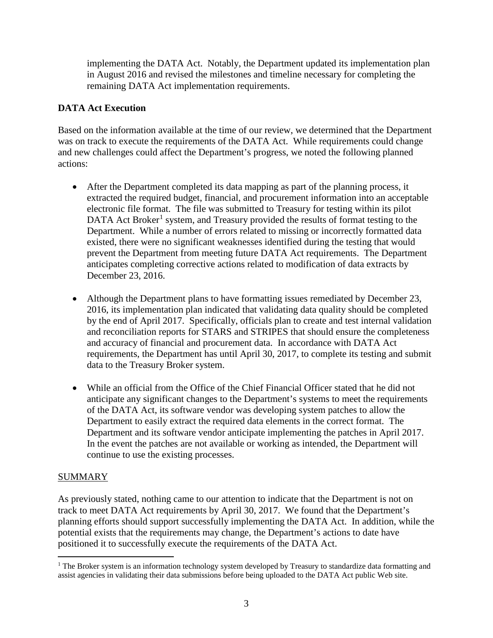implementing the DATA Act. Notably, the Department updated its implementation plan in August 2016 and revised the milestones and timeline necessary for completing the remaining DATA Act implementation requirements.

# **DATA Act Execution**

Based on the information available at the time of our review, we determined that the Department was on track to execute the requirements of the DATA Act. While requirements could change and new challenges could affect the Department's progress, we noted the following planned actions:

- After the Department completed its data mapping as part of the planning process, it extracted the required budget, financial, and procurement information into an acceptable electronic file format. The file was submitted to Treasury for testing within its pilot DATA Act Broker<sup>[1](#page-3-0)</sup> system, and Treasury provided the results of format testing to the Department. While a number of errors related to missing or incorrectly formatted data existed, there were no significant weaknesses identified during the testing that would prevent the Department from meeting future DATA Act requirements. The Department anticipates completing corrective actions related to modification of data extracts by December 23, 2016.
- Although the Department plans to have formatting issues remediated by December 23, 2016, its implementation plan indicated that validating data quality should be completed by the end of April 2017. Specifically, officials plan to create and test internal validation and reconciliation reports for STARS and STRIPES that should ensure the completeness and accuracy of financial and procurement data. In accordance with DATA Act requirements, the Department has until April 30, 2017, to complete its testing and submit data to the Treasury Broker system.
- While an official from the Office of the Chief Financial Officer stated that he did not anticipate any significant changes to the Department's systems to meet the requirements of the DATA Act, its software vendor was developing system patches to allow the Department to easily extract the required data elements in the correct format. The Department and its software vendor anticipate implementing the patches in April 2017. In the event the patches are not available or working as intended, the Department will continue to use the existing processes.

#### SUMMARY

As previously stated, nothing came to our attention to indicate that the Department is not on track to meet DATA Act requirements by April 30, 2017. We found that the Department's planning efforts should support successfully implementing the DATA Act. In addition, while the potential exists that the requirements may change, the Department's actions to date have positioned it to successfully execute the requirements of the DATA Act.

<span id="page-3-0"></span><sup>&</sup>lt;sup>1</sup> The Broker system is an information technology system developed by Treasury to standardize data formatting and assist agencies in validating their data submissions before being uploaded to the DATA Act public Web site.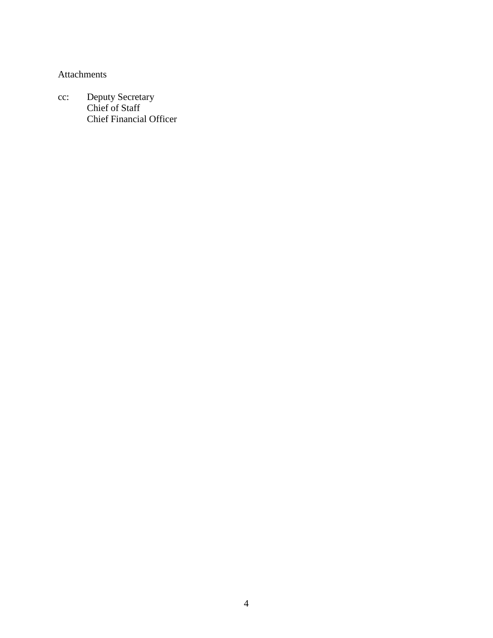Attachments

cc: Deputy Secretary Chief of Staff Chief Financial Officer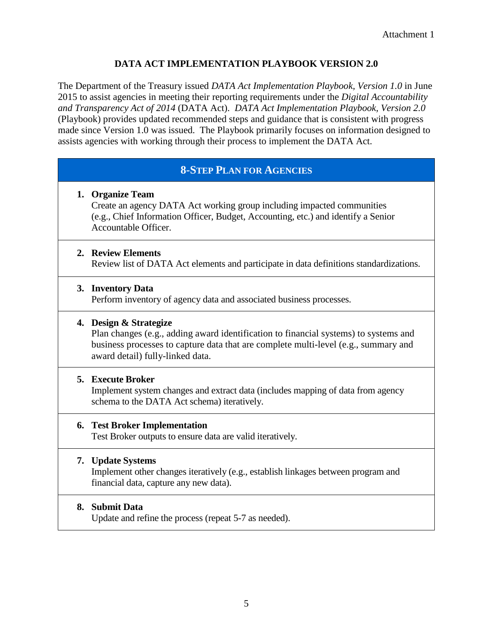#### **DATA ACT IMPLEMENTATION PLAYBOOK VERSION 2.0**

The Department of the Treasury issued *DATA Act Implementation Playbook, Version 1.0* in June 2015 to assist agencies in meeting their reporting requirements under the *Digital Accountability and Transparency Act of 2014* (DATA Act). *DATA Act Implementation Playbook, Version 2.0* (Playbook) provides updated recommended steps and guidance that is consistent with progress made since Version 1.0 was issued. The Playbook primarily focuses on information designed to assists agencies with working through their process to implement the DATA Act.

# **8-STEP PLAN FOR AGENCIES**

#### **1. Organize Team**

Create an agency DATA Act working group including impacted communities (e.g., Chief Information Officer, Budget, Accounting, etc.) and identify a Senior Accountable Officer.

#### **2. Review Elements**

Review list of DATA Act elements and participate in data definitions standardizations.

#### **3. Inventory Data**

Perform inventory of agency data and associated business processes.

#### **4. Design & Strategize**

Plan changes (e.g., adding award identification to financial systems) to systems and business processes to capture data that are complete multi-level (e.g., summary and award detail) fully-linked data.

#### **5. Execute Broker**

Implement system changes and extract data (includes mapping of data from agency schema to the DATA Act schema) iteratively.

#### **6. Test Broker Implementation**

Test Broker outputs to ensure data are valid iteratively.

#### **7. Update Systems**

Implement other changes iteratively (e.g., establish linkages between program and financial data, capture any new data).

#### **8. Submit Data**

Update and refine the process (repeat 5-7 as needed).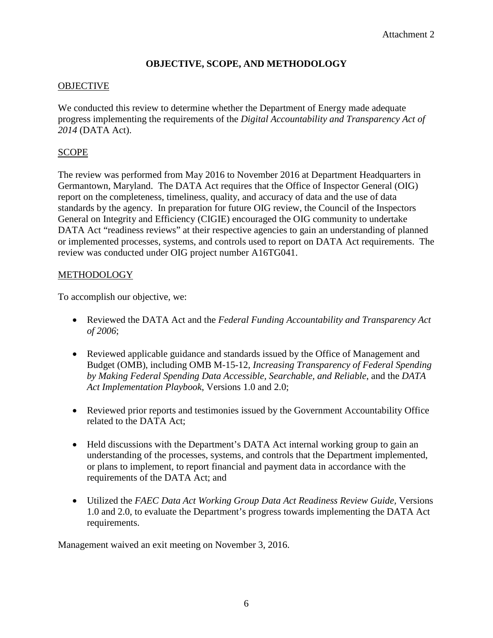# **OBJECTIVE, SCOPE, AND METHODOLOGY**

#### **OBJECTIVE**

We conducted this review to determine whether the Department of Energy made adequate progress implementing the requirements of the *Digital Accountability and Transparency Act of 2014* (DATA Act).

#### SCOPE

The review was performed from May 2016 to November 2016 at Department Headquarters in Germantown, Maryland. The DATA Act requires that the Office of Inspector General (OIG) report on the completeness, timeliness, quality, and accuracy of data and the use of data standards by the agency. In preparation for future OIG review, the Council of the Inspectors General on Integrity and Efficiency (CIGIE) encouraged the OIG community to undertake DATA Act "readiness reviews" at their respective agencies to gain an understanding of planned or implemented processes, systems, and controls used to report on DATA Act requirements. The review was conducted under OIG project number A16TG041.

#### **METHODOLOGY**

To accomplish our objective, we:

- Reviewed the DATA Act and the *Federal Funding Accountability and Transparency Act of 2006*;
- Reviewed applicable guidance and standards issued by the Office of Management and Budget (OMB), including OMB M-15-12*, Increasing Transparency of Federal Spending by Making Federal Spending Data Accessible, Searchable, and Reliable*, and the *DATA Act Implementation Playbook*, Versions 1.0 and 2.0;
- Reviewed prior reports and testimonies issued by the Government Accountability Office related to the DATA Act;
- Held discussions with the Department's DATA Act internal working group to gain an understanding of the processes, systems, and controls that the Department implemented, or plans to implement, to report financial and payment data in accordance with the requirements of the DATA Act; and
- Utilized the *FAEC Data Act Working Group Data Act Readiness Review Guide,* Versions 1.0 and 2.0, to evaluate the Department's progress towards implementing the DATA Act requirements.

Management waived an exit meeting on November 3, 2016.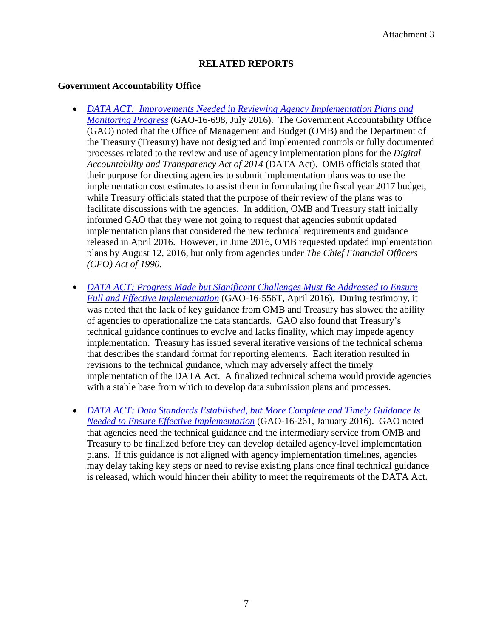# **RELATED REPORTS**

#### **Government Accountability Office**

- *[DATA ACT: Improvements Needed in Reviewing Agency Implementation Plans and](http://www.gao.gov/products/GAO-16-698)  [Monitoring Progress](http://www.gao.gov/products/GAO-16-698)* (GAO-16-698, July 2016). The Government Accountability Office (GAO) noted that the Office of Management and Budget (OMB) and the Department of the Treasury (Treasury) have not designed and implemented controls or fully documented processes related to the review and use of agency implementation plans for the *Digital Accountability and Transparency Act of 2014* (DATA Act). OMB officials stated that their purpose for directing agencies to submit implementation plans was to use the implementation cost estimates to assist them in formulating the fiscal year 2017 budget, while Treasury officials stated that the purpose of their review of the plans was to facilitate discussions with the agencies. In addition, OMB and Treasury staff initially informed GAO that they were not going to request that agencies submit updated implementation plans that considered the new technical requirements and guidance released in April 2016. However, in June 2016, OMB requested updated implementation plans by August 12, 2016, but only from agencies under *The Chief Financial Officers (CFO) Act of 1990*.
- *[DATA ACT: Progress Made but Significant Challenges Must Be Addressed to Ensure](http://www.gao.gov/products/GAO-16-556T)  [Full and Effective Implementation](http://www.gao.gov/products/GAO-16-556T)* (GAO-16-556T, April 2016). During testimony, it was noted that the lack of key guidance from OMB and Treasury has slowed the ability of agencies to operationalize the data standards. GAO also found that Treasury's technical guidance continues to evolve and lacks finality, which may impede agency implementation. Treasury has issued several iterative versions of the technical schema that describes the standard format for reporting elements. Each iteration resulted in revisions to the technical guidance, which may adversely affect the timely implementation of the DATA Act. A finalized technical schema would provide agencies with a stable base from which to develop data submission plans and processes.
- *[DATA ACT: Data Standards Established, but More Complete and Timely Guidance Is](http://www.gao.gov/products/GAO-16-261)  [Needed to Ensure Effective Implementation](http://www.gao.gov/products/GAO-16-261)* (GAO-16-261, January 2016). GAO noted that agencies need the technical guidance and the intermediary service from OMB and Treasury to be finalized before they can develop detailed agency-level implementation plans. If this guidance is not aligned with agency implementation timelines, agencies may delay taking key steps or need to revise existing plans once final technical guidance is released, which would hinder their ability to meet the requirements of the DATA Act.